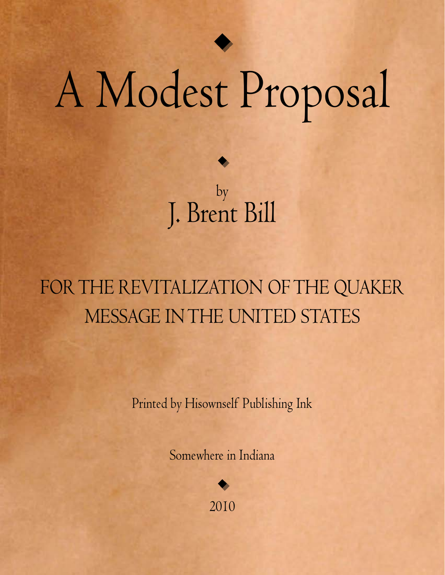

## A Modest Proposal

by J. Brent Bill

## FOR THE REVITALIZATION OF THE QUAKER Message in the United States

Printed by Hisownself Publishing Ink

Somewhere in Indiana

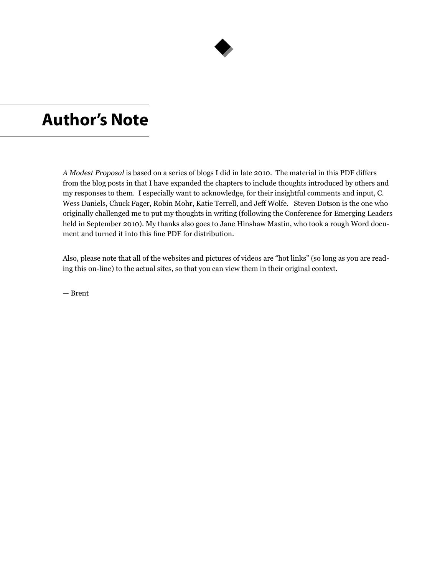

#### **Author's Note**

*A Modest Proposal* is based on a series of blogs I did in late 2010. The material in this PDF differs from the blog posts in that I have expanded the chapters to include thoughts introduced by others and my responses to them. I especially want to acknowledge, for their insightful comments and input, C. Wess Daniels, Chuck Fager, Robin Mohr, Katie Terrell, and Jeff Wolfe. Steven Dotson is the one who originally challenged me to put my thoughts in writing (following the Conference for Emerging Leaders held in September 2010). My thanks also goes to Jane Hinshaw Mastin, who took a rough Word document and turned it into this fine PDF for distribution.

Also, please note that all of the websites and pictures of videos are "hot links" (so long as you are reading this on-line) to the actual sites, so that you can view them in their original context.

— Brent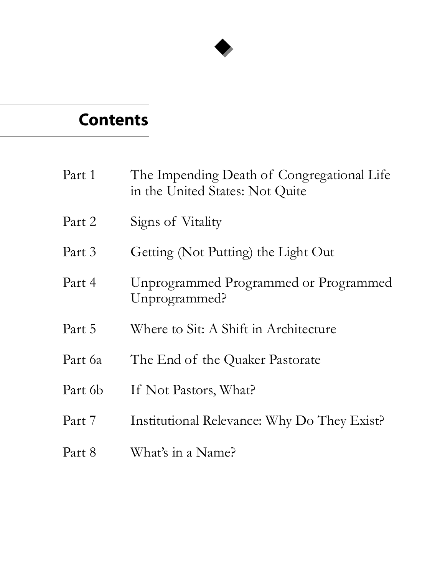

## **Contents**

| Part 1  | The Impending Death of Congregational Life<br>in the United States: Not Quite |
|---------|-------------------------------------------------------------------------------|
| Part 2  | Signs of Vitality                                                             |
| Part 3  | Getting (Not Putting) the Light Out                                           |
| Part 4  | Unprogrammed Programmed or Programmed<br>Unprogrammed?                        |
| Part 5  | Where to Sit: A Shift in Architecture                                         |
| Part 6a | The End of the Quaker Pastorate                                               |
| Part 6b | If Not Pastors, What?                                                         |
| Part 7  | Institutional Relevance: Why Do They Exist?                                   |
| Part 8  | What's in a Name?                                                             |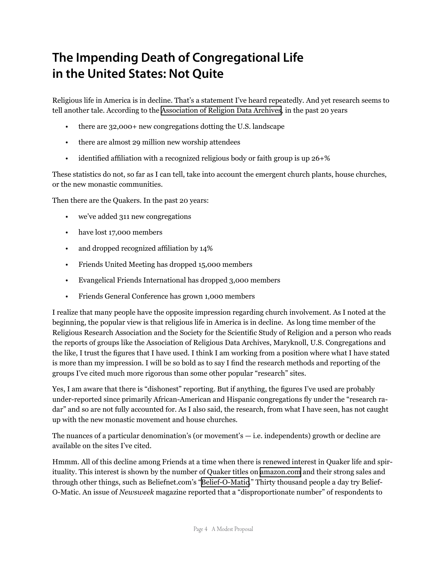#### **The Impending Death of Congregational Life in the United States: Not Quite**

Religious life in America is in decline. That's a statement I've heard repeatedly. And yet research seems to tell another tale. According to the [Association of Religion Data Archives](http://www.thearda.com/), in the past 20 years

- there are 32,000+ new congregations dotting the U.S. landscape
- there are almost 29 million new worship attendees
- identified affiliation with a recognized religious body or faith group is up  $26+%$

These statistics do not, so far as I can tell, take into account the emergent church plants, house churches, or the new monastic communities.

Then there are the Quakers. In the past 20 years:

- we've added 311 new congregations
- have lost 17,000 members
- and dropped recognized affiliation by 14%
- Friends United Meeting has dropped 15,000 members
- Evangelical Friends International has dropped 3,000 members
- Friends General Conference has grown 1,000 members

I realize that many people have the opposite impression regarding church involvement. As I noted at the beginning, the popular view is that religious life in America is in decline. As long time member of the Religious Research Association and the Society for the Scientific Study of Religion and a person who reads the reports of groups like the Association of Religious Data Archives, Maryknoll, U.S. Congregations and the like, I trust the figures that I have used. I think I am working from a position where what I have stated is more than my impression. I will be so bold as to say I find the research methods and reporting of the groups I've cited much more rigorous than some other popular "research" sites.

Yes, I am aware that there is "dishonest" reporting. But if anything, the figures I've used are probably under-reported since primarily African-American and Hispanic congregations fly under the "research radar" and so are not fully accounted for. As I also said, the research, from what I have seen, has not caught up with the new monastic movement and house churches.

The nuances of a particular denomination's (or movement's  $-$  i.e. independents) growth or decline are available on the sites I've cited.

Hmmm. All of this decline among Friends at a time when there is renewed interest in Quaker life and spirituality. This interest is shown by the number of Quaker titles on [amazon.co](http://www.amazon.com/gp/bestsellers/books/12442/ref=pd_zg_hrsr_b_1_5_last)m and their strong sales and through other things, such as Beliefnet.com's ["Belief-O-Matic](http://www.beliefnet.com/Entertainment/Quizzes/BeliefOMatic.aspx)." Thirty thousand people a day try Belief-O-Matic. An issue of *Newsweek* magazine reported that a "disproportionate number" of respondents to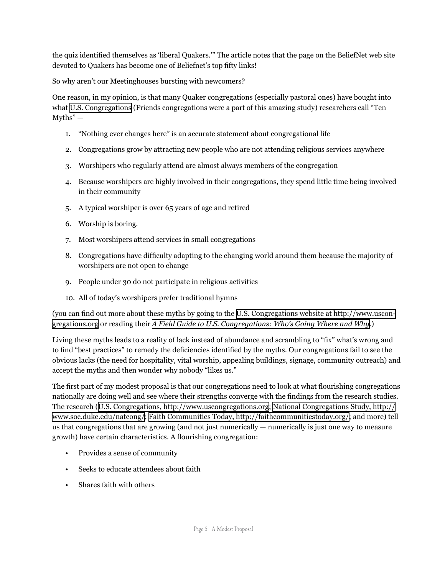the quiz identified themselves as 'liberal Quakers.'" The article notes that the page on the BeliefNet web site devoted to Quakers has become one of Beliefnet's top fifty links!

So why aren't our Meetinghouses bursting with newcomers?

One reason, in my opinion, is that many Quaker congregations (especially pastoral ones) have bought into what [U.S. Congregations](http://www.uscongregations.org/index.htm) (Friends congregations were a part of this amazing study) researchers call "Ten  $Myths'' -$ 

- 1. "Nothing ever changes here" is an accurate statement about congregational life
- 2. Congregations grow by attracting new people who are not attending religious services anywhere
- 3. Worshipers who regularly attend are almost always members of the congregation
- 4. Because worshipers are highly involved in their congregations, they spend little time being involved in their community
- 5. A typical worshiper is over 65 years of age and retired
- 6. Worship is boring.
- 7. Most worshipers attend services in small congregations
- 8. Congregations have difficulty adapting to the changing world around them because the majority of worshipers are not open to change
- 9. People under 30 do not participate in religious activities
- 10. All of today's worshipers prefer traditional hymns

(you can find out more about these myths by going to the [U.S. Congregations website at http://www.uscon](http://www.uscongregations.org/index.htm)[gregations.org](http://www.uscongregations.org/index.htm) or reading their *[A Field Guide to U.S. Congregations: Who's Going Where and Why](http://www.amazon.com/Field-Guide-U-s-Congregations-Going/dp/066423514X/ref=sr_1_1?ie=UTF8&s=books&qid=1285001654&sr=8-1-spell)*.)

Living these myths leads to a reality of lack instead of abundance and scrambling to "fix" what's wrong and to find "best practices" to remedy the deficiencies identified by the myths. Our congregations fail to see the obvious lacks (the need for hospitality, vital worship, appealing buildings, signage, community outreach) and accept the myths and then wonder why nobody "likes us."

The first part of my modest proposal is that our congregations need to look at what flourishing congregations nationally are doing well and see where their strengths converge with the findings from the research studies. The research ([U.S. Congregations, http://www.uscongregations.org](http://www.uscongregations.org/index.htm); [National Congregations Study, http://](http://www.soc.duke.edu/natcong/) [www.soc.duke.edu/natcong/](http://www.soc.duke.edu/natcong/); [Faith Communities Today, http://faithcommunitiestoday.org/](http://faithcommunitiestoday.org/); and more) tell us that congregations that are growing (and not just numerically — numerically is just one way to measure growth) have certain characteristics. A flourishing congregation:

- Provides a sense of community
- Seeks to educate attendees about faith
- Shares faith with others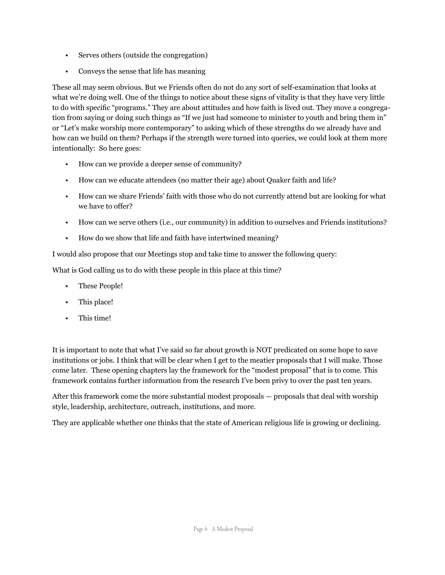- Serves others (outside the congregation)
- Conveys the sense that life has meaning

These all may seem obvious. But we Friends often do not do any sort of self-examination that looks at what we're doing well. One of the things to notice about these signs of vitality is that they have very little to do with specific "programs." They are about attitudes and how faith is lived out. They move a congregation from saying or doing such things as "If we just had someone to minister to youth and bring them in" or "Let's make worship more contemporary" to asking which of these strengths do we already have and how can we build on them? Perhaps if the strength were turned into queries, we could look at them more intentionally: So here goes:

- How can we provide a deeper sense of community?
- How can we educate attendees (no matter their age) about Quaker faith and life?
- How can we share Friends' faith with those who do not currently attend but are looking for what we have to offer?
- How can we serve others (i.e., our community) in addition to ourselves and Friends institutions?
- How do we show that life and faith have intertwined meaning?

I would also propose that our Meetings stop and take time to answer the following query:

What is God calling us to do with these people in this place at this time?

- These People!
- This place!
- This time!

It is important to note that what I've said so far about growth is NOT predicated on some hope to save institutions or jobs. I think that will be clear when I get to the meatier proposals that I will make. Those come later. These opening chapters lay the framework for the "modest proposal" that is to come. This framework contains further information from the research I've been privy to over the past ten years.

After this framework come the more substantial modest proposals — proposals that deal with worship style, leadership, architecture, outreach, institutions, and more.

They are applicable whether one thinks that the state of American religious life is growing or declining.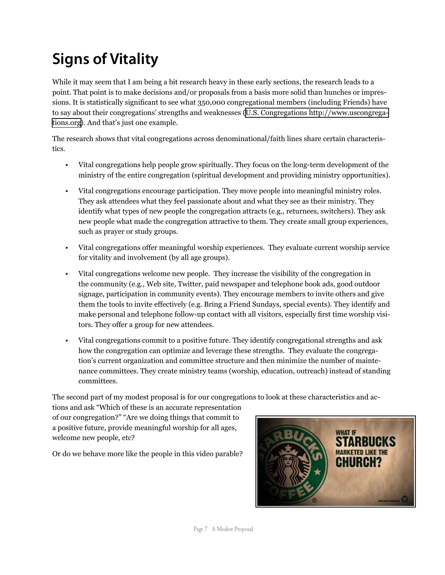## **Signs of Vitality**

While it may seem that I am being a bit research heavy in these early sections, the research leads to a point. That point is to make decisions and/or proposals from a basis more solid than hunches or impressions. It is statistically significant to see what 350,000 congregational members (including Friends) have to say about their congregations' strengths and weaknesses ([U.S. Congregations http://www.uscongrega](http://www.uscongregations.org/index.htm)[tions.org](http://www.uscongregations.org/index.htm)). And that's just one example.

The research shows that vital congregations across denominational/faith lines share certain characteristics.

- Vital congregations help people grow spiritually. They focus on the long-term development of the ministry of the entire congregation (spiritual development and providing ministry opportunities).
- Vital congregations encourage participation. They move people into meaningful ministry roles. They ask attendees what they feel passionate about and what they see as their ministry. They identify what types of new people the congregation attracts (e.g., returnees, switchers). They ask new people what made the congregation attractive to them. They create small group experiences, such as prayer or study groups.
- Vital congregations offer meaningful worship experiences. They evaluate current worship service for vitality and involvement (by all age groups).
- Vital congregations welcome new people. They increase the visibility of the congregation in the community (e.g., Web site, Twitter, paid newspaper and telephone book ads, good outdoor signage, participation in community events). They encourage members to invite others and give them the tools to invite effectively (e.g. Bring a Friend Sundays, special events). They identify and make personal and telephone follow-up contact with all visitors, especially first time worship visitors. They offer a group for new attendees.
- Vital congregations commit to a positive future. They identify congregational strengths and ask how the congregation can optimize and leverage these strengths. They evaluate the congregation's current organization and committee structure and then minimize the number of maintenance committees. They create ministry teams (worship, education, outreach) instead of standing committees.

The second part of my modest proposal is for our congregations to look at these characteristics and ac-

tions and ask "Which of these is an accurate representation of our congregation?" "Are we doing things that commit to a positive future, provide meaningful worship for all ages, welcome new people, etc?

Or do we behave more like the people in this video parable?

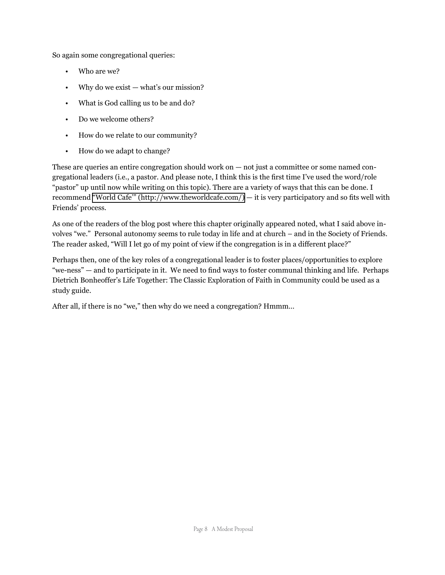So again some congregational queries:

- Who are we?
- Why do we exist  $-$  what's our mission?
- What is God calling us to be and do?
- Do we welcome others?
- How do we relate to our community?
- How do we adapt to change?

These are queries an entire congregation should work on — not just a committee or some named congregational leaders (i.e., a pastor. And please note, I think this is the first time I've used the word/role "pastor" up until now while writing on this topic). There are a variety of ways that this can be done. I recommend ["World Cafe'" \(http://www.theworldcafe.com/\)](http://www.theworldcafe.com/) — it is very participatory and so fits well with Friends' process.

As one of the readers of the blog post where this chapter originally appeared noted, what I said above involves "we." Personal autonomy seems to rule today in life and at church – and in the Society of Friends. The reader asked, "Will I let go of my point of view if the congregation is in a different place?"

Perhaps then, one of the key roles of a congregational leader is to foster places/opportunities to explore "we-ness" — and to participate in it. We need to find ways to foster communal thinking and life. Perhaps Dietrich Bonheoffer's Life Together: The Classic Exploration of Faith in Community could be used as a study guide.

After all, if there is no "we," then why do we need a congregation? Hmmm…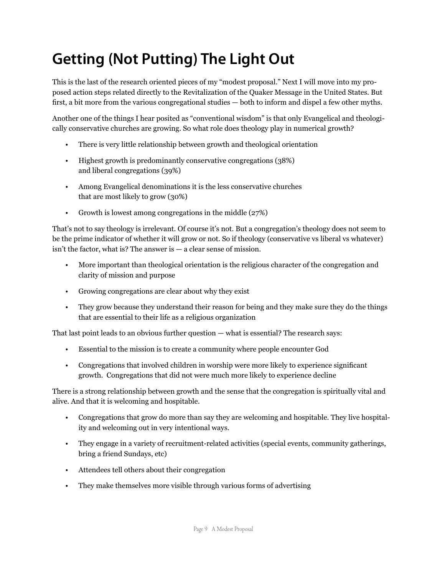## **Getting (Not Putting) The Light Out**

This is the last of the research oriented pieces of my "modest proposal." Next I will move into my proposed action steps related directly to the Revitalization of the Quaker Message in the United States. But first, a bit more from the various congregational studies — both to inform and dispel a few other myths.

Another one of the things I hear posited as "conventional wisdom" is that only Evangelical and theologically conservative churches are growing. So what role does theology play in numerical growth?

- There is very little relationship between growth and theological orientation
- Highest growth is predominantly conservative congregations (38%) and liberal congregations (39%)
- Among Evangelical denominations it is the less conservative churches that are most likely to grow (30%)
- Growth is lowest among congregations in the middle (27%)

That's not to say theology is irrelevant. Of course it's not. But a congregation's theology does not seem to be the prime indicator of whether it will grow or not. So if theology (conservative vs liberal vs whatever) isn't the factor, what is? The answer is — a clear sense of mission.

- More important than theological orientation is the religious character of the congregation and clarity of mission and purpose
- Growing congregations are clear about why they exist
- They grow because they understand their reason for being and they make sure they do the things that are essential to their life as a religious organization

That last point leads to an obvious further question — what is essential? The research says:

- Essential to the mission is to create a community where people encounter God
- Congregations that involved children in worship were more likely to experience significant growth. Congregations that did not were much more likely to experience decline

There is a strong relationship between growth and the sense that the congregation is spiritually vital and alive. And that it is welcoming and hospitable.

- Congregations that grow do more than say they are welcoming and hospitable. They live hospitality and welcoming out in very intentional ways.
- They engage in a variety of recruitment-related activities (special events, community gatherings, bring a friend Sundays, etc)
- Attendees tell others about their congregation
- They make themselves more visible through various forms of advertising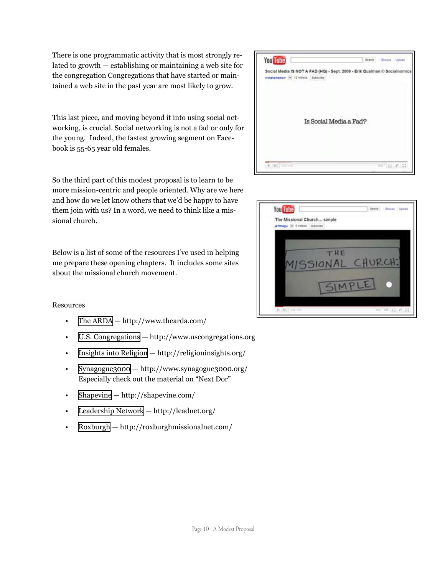There is one programmatic activity that is most strongly related to growth — establishing or maintaining a web site for the congregation Congregations that have started or maintained a web site in the past year are most likely to grow.

This last piece, and moving beyond it into using social networking, is crucial. Social networking is not a fad or only for the young. Indeed, the fastest growing segment on Facebook is 55-65 year old females.

So the third part of this modest proposal is to learn to be more mission-centric and people oriented. Why are we here and how do we let know others that we'd be happy to have them join with us? In a word, we need to think like a missional church.

Below is a list of some of the resources I've used in helping me prepare these opening chapters. It includes some sites about the missional church movement.

#### Resources

- [The ARDA](http://www.thearda.com/) http://www.thearda.com/
- [U.S. Congregations](http://www.uscongregations.org/index.htm)  http://www.uscongregations.org
- [Insights into Religion](http://religioninsights.org/) http://religioninsights.org/
- [Synagogue3000](http://www.synagogue3000.org/)  http://www.synagogue3000.org/ Especially check out the material on "Next Dor"
- [Shapevine](http://shapevine.com/)  http://shapevine.com/
- [Leadership Networ](http://www.leadnet.org/)k http://leadnet.org/
- [Roxburgh](http://roxburghmissionalnet.com/)  http://roxburghmissionalnet.com/



| You Tube |                                                                |                 | Dearch  | <b>Browse 7 Upload</b> |
|----------|----------------------------------------------------------------|-----------------|---------|------------------------|
|          | The Missional Church simple<br>jeffmagu (m) 6 videos Subscribe |                 |         |                        |
|          |                                                                |                 |         |                        |
|          |                                                                | THE             | CHURCH: |                        |
|          |                                                                | <b>ISSIONAL</b> |         |                        |
|          |                                                                |                 |         |                        |
|          | $ b  = 46.7$ and 2m                                            |                 |         | <b>STEEL 21 22 23</b>  |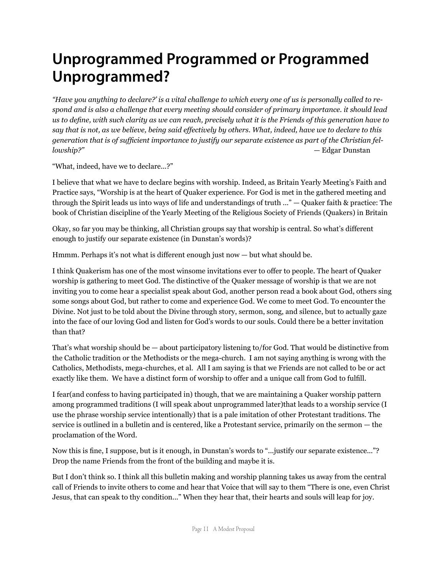#### **Unprogrammed Programmed or Programmed Unprogrammed?**

*"Have you anything to declare?' is a vital challenge to which every one of us is personally called to respond and is also a challenge that every meeting should consider of primary importance. it should lead us to define, with such clarity as we can reach, precisely what it is the Friends of this generation have to say that is not, as we believe, being said effectively by others. What, indeed, have we to declare to this generation that is of sufficient importance to justify our separate existence as part of the Christian fellowship?"* — Edgar Dunstan

"What, indeed, have we to declare...?"

I believe that what we have to declare begins with worship. Indeed, as Britain Yearly Meeting's Faith and Practice says, "Worship is at the heart of Quaker experience. For God is met in the gathered meeting and through the Spirit leads us into ways of life and understandings of truth ..." — Quaker faith & practice: The book of Christian discipline of the Yearly Meeting of the Religious Society of Friends (Quakers) in Britain

Okay, so far you may be thinking, all Christian groups say that worship is central. So what's different enough to justify our separate existence (in Dunstan's words)?

Hmmm. Perhaps it's not what is different enough just now — but what should be.

I think Quakerism has one of the most winsome invitations ever to offer to people. The heart of Quaker worship is gathering to meet God. The distinctive of the Quaker message of worship is that we are not inviting you to come hear a specialist speak about God, another person read a book about God, others sing some songs about God, but rather to come and experience God. We come to meet God. To encounter the Divine. Not just to be told about the Divine through story, sermon, song, and silence, but to actually gaze into the face of our loving God and listen for God's words to our souls. Could there be a better invitation than that?

That's what worship should be — about participatory listening to/for God. That would be distinctive from the Catholic tradition or the Methodists or the mega-church. I am not saying anything is wrong with the Catholics, Methodists, mega-churches, et al. All I am saying is that we Friends are not called to be or act exactly like them. We have a distinct form of worship to offer and a unique call from God to fulfill.

I fear(and confess to having participated in) though, that we are maintaining a Quaker worship pattern among programmed traditions (I will speak about unprogrammed later)that leads to a worship service (I use the phrase worship service intentionally) that is a pale imitation of other Protestant traditions. The service is outlined in a bulletin and is centered, like a Protestant service, primarily on the sermon — the proclamation of the Word.

Now this is fine, I suppose, but is it enough, in Dunstan's words to "...justify our separate existence..."? Drop the name Friends from the front of the building and maybe it is.

But I don't think so. I think all this bulletin making and worship planning takes us away from the central call of Friends to invite others to come and hear that Voice that will say to them "There is one, even Christ Jesus, that can speak to thy condition..." When they hear that, their hearts and souls will leap for joy.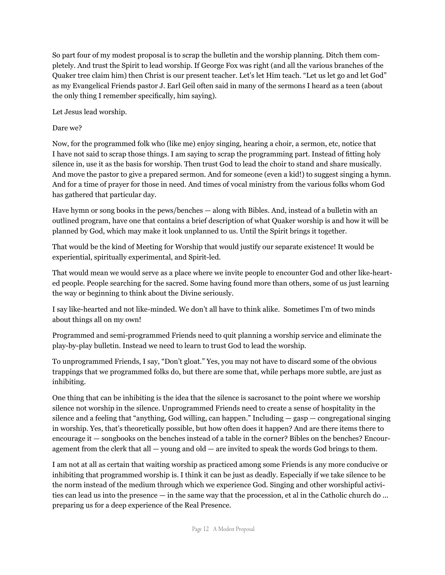So part four of my modest proposal is to scrap the bulletin and the worship planning. Ditch them completely. And trust the Spirit to lead worship. If George Fox was right (and all the various branches of the Quaker tree claim him) then Christ is our present teacher. Let's let Him teach. "Let us let go and let God" as my Evangelical Friends pastor J. Earl Geil often said in many of the sermons I heard as a teen (about the only thing I remember specifically, him saying).

Let Jesus lead worship.

#### Dare we?

Now, for the programmed folk who (like me) enjoy singing, hearing a choir, a sermon, etc, notice that I have not said to scrap those things. I am saying to scrap the programming part. Instead of fitting holy silence in, use it as the basis for worship. Then trust God to lead the choir to stand and share musically. And move the pastor to give a prepared sermon. And for someone (even a kid!) to suggest singing a hymn. And for a time of prayer for those in need. And times of vocal ministry from the various folks whom God has gathered that particular day.

Have hymn or song books in the pews/benches — along with Bibles. And, instead of a bulletin with an outlined program, have one that contains a brief description of what Quaker worship is and how it will be planned by God, which may make it look unplanned to us. Until the Spirit brings it together.

That would be the kind of Meeting for Worship that would justify our separate existence! It would be experiential, spiritually experimental, and Spirit-led.

That would mean we would serve as a place where we invite people to encounter God and other like-hearted people. People searching for the sacred. Some having found more than others, some of us just learning the way or beginning to think about the Divine seriously.

I say like-hearted and not like-minded. We don't all have to think alike. Sometimes I'm of two minds about things all on my own!

Programmed and semi-programmed Friends need to quit planning a worship service and eliminate the play-by-play bulletin. Instead we need to learn to trust God to lead the worship.

To unprogrammed Friends, I say, "Don't gloat." Yes, you may not have to discard some of the obvious trappings that we programmed folks do, but there are some that, while perhaps more subtle, are just as inhibiting.

One thing that can be inhibiting is the idea that the silence is sacrosanct to the point where we worship silence not worship in the silence. Unprogrammed Friends need to create a sense of hospitality in the silence and a feeling that "anything, God willing, can happen." Including — gasp — congregational singing in worship. Yes, that's theoretically possible, but how often does it happen? And are there items there to encourage it — songbooks on the benches instead of a table in the corner? Bibles on the benches? Encouragement from the clerk that all  $-$  young and old  $-$  are invited to speak the words God brings to them.

I am not at all as certain that waiting worship as practiced among some Friends is any more conducive or inhibiting that programmed worship is. I think it can be just as deadly. Especially if we take silence to be the norm instead of the medium through which we experience God. Singing and other worshipful activities can lead us into the presence — in the same way that the procession, et al in the Catholic church do ... preparing us for a deep experience of the Real Presence.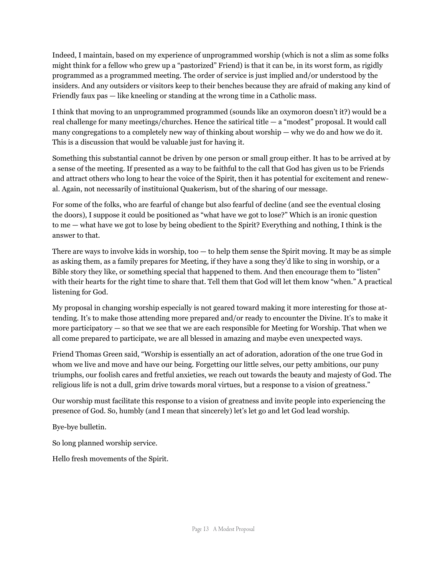Indeed, I maintain, based on my experience of unprogrammed worship (which is not a slim as some folks might think for a fellow who grew up a "pastorized" Friend) is that it can be, in its worst form, as rigidly programmed as a programmed meeting. The order of service is just implied and/or understood by the insiders. And any outsiders or visitors keep to their benches because they are afraid of making any kind of Friendly faux pas — like kneeling or standing at the wrong time in a Catholic mass.

I think that moving to an unprogrammed programmed (sounds like an oxymoron doesn't it?) would be a real challenge for many meetings/churches. Hence the satirical title — a "modest" proposal. It would call many congregations to a completely new way of thinking about worship — why we do and how we do it. This is a discussion that would be valuable just for having it.

Something this substantial cannot be driven by one person or small group either. It has to be arrived at by a sense of the meeting. If presented as a way to be faithful to the call that God has given us to be Friends and attract others who long to hear the voice of the Spirit, then it has potential for excitement and renewal. Again, not necessarily of instituional Quakerism, but of the sharing of our message.

For some of the folks, who are fearful of change but also fearful of decline (and see the eventual closing the doors), I suppose it could be positioned as "what have we got to lose?" Which is an ironic question to me — what have we got to lose by being obedient to the Spirit? Everything and nothing, I think is the answer to that.

There are ways to involve kids in worship, too — to help them sense the Spirit moving. It may be as simple as asking them, as a family prepares for Meeting, if they have a song they'd like to sing in worship, or a Bible story they like, or something special that happened to them. And then encourage them to "listen" with their hearts for the right time to share that. Tell them that God will let them know "when." A practical listening for God.

My proposal in changing worship especially is not geared toward making it more interesting for those attending. It's to make those attending more prepared and/or ready to encounter the Divine. It's to make it more participatory — so that we see that we are each responsible for Meeting for Worship. That when we all come prepared to participate, we are all blessed in amazing and maybe even unexpected ways.

Friend Thomas Green said, "Worship is essentially an act of adoration, adoration of the one true God in whom we live and move and have our being. Forgetting our little selves, our petty ambitions, our puny triumphs, our foolish cares and fretful anxieties, we reach out towards the beauty and majesty of God. The religious life is not a dull, grim drive towards moral virtues, but a response to a vision of greatness."

Our worship must facilitate this response to a vision of greatness and invite people into experiencing the presence of God. So, humbly (and I mean that sincerely) let's let go and let God lead worship.

Bye-bye bulletin.

So long planned worship service.

Hello fresh movements of the Spirit.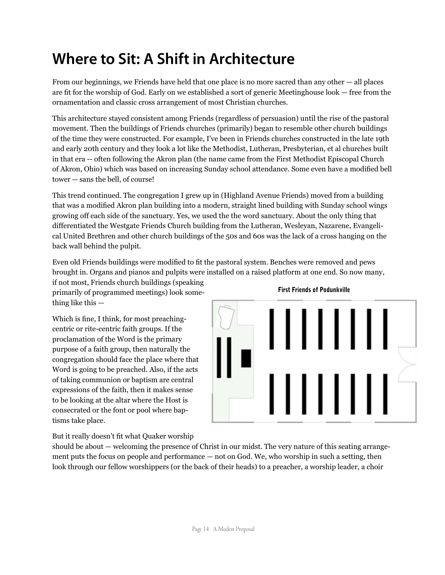### **Where to Sit: A Shift in Architecture**

From our beginnings, we Friends have held that one place is no more sacred than any other — all places are fit for the worship of God. Early on we established a sort of generic Meetinghouse look — free from the ornamentation and classic cross arrangement of most Christian churches.

This architecture stayed consistent among Friends (regardless of persuasion) until the rise of the pastoral movement. Then the buildings of Friends churches (primarily) began to resemble other church buildings of the time they were constructed. For example, I've been in Friends churches constructed in the late 19th and early 20th century and they look a lot like the Methodist, Lutheran, Presbyterian, et al churches built in that era -- often following the Akron plan (the name came from the First Methodist Episcopal Church of Akron, Ohio) which was based on increasing Sunday school attendance. Some even have a modified bell tower -- sans the bell, of course!

This trend continued. The congregation I grew up in (Highland Avenue Friends) moved from a building that was a modified Akron plan building into a modern, straight lined building with Sunday school wings growing off each side of the sanctuary. Yes, we used the the word sanctuary. About the only thing that differentiated the Westgate Friends Church building from the Lutheran, Wesleyan, Nazarene, Evangelical United Brethren and other church buildings of the 50s and 60s was the lack of a cross hanging on the back wall behind the pulpit.

Even old Friends buildings were modified to fit the pastoral system. Benches were removed and pews brought in. Organs and pianos and pulpits were installed on a raised platform at one end. So now many,

if not most, Friends church buildings (speaking primarily of programmed meetings) look something like this —

Which is fine, I think, for most preachingcentric or rite-centric faith groups. If the proclamation of the Word is the primary purpose of a faith group, then naturally the congregation should face the place where that Word is going to be preached. Also, if the acts of taking communion or baptism are central expressions of the faith, then it makes sense to be looking at the altar where the Host is consecrated or the font or pool where baptisms take place.



First Friends of Podunkville

But it really doesn't fit what Quaker worship

should be about — welcoming the presence of Christ in our midst. The very nature of this seating arrangement puts the focus on people and performance — not on God. We, who worship in such a setting, then look through our fellow worshippers (or the back of their heads) to a preacher, a worship leader, a choir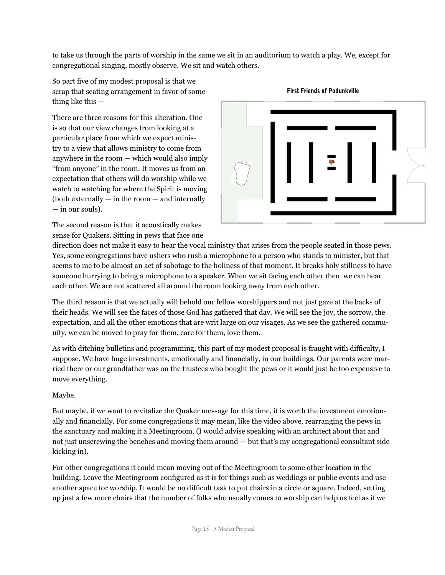to take us through the parts of worship in the same we sit in an auditorium to watch a play. We, except for congregational singing, mostly observe. We sit and watch others.

So part five of my modest proposal is that we scrap that seating arrangement in favor of something like this —

There are three reasons for this alteration. One is so that our view changes from looking at a particular place from which we expect ministry to a view that allows ministry to come from anywhere in the room — which would also imply "from anyone" in the room. It moves us from an expectation that others will do worship while we watch to watching for where the Spirit is moving (both externally — in the room — and internally — in our souls).

The second reason is that it acoustically makes sense for Quakers. Sitting in pews that face one



#### First Friends of Podunkville

direction does not make it easy to hear the vocal ministry that arises from the people seated in those pews. Yes, some congregations have ushers who rush a microphone to a person who stands to minister, but that seems to me to be almost an act of sabotage to the holiness of that moment. It breaks holy stillness to have someone hurrying to bring a microphone to a speaker. When we sit facing each other then we can hear each other. We are not scattered all around the room looking away from each other.

The third reason is that we actually will behold our fellow worshippers and not just gaze at the backs of their heads. We will see the faces of those God has gathered that day. We will see the joy, the sorrow, the expectation, and all the other emotions that are writ large on our visages. As we see the gathered community, we can be moved to pray for them, care for them, love them.

As with ditching bulletins and programming, this part of my modest proposal is fraught with difficulty, I suppose. We have huge investments, emotionally and financially, in our buildings. Our parents were married there or our grandfather was on the trustees who bought the pews or it would just be too expensive to move everything.

#### Maybe.

But maybe, if we want to revitalize the Quaker message for this time, it is worth the investment emotionally and financially. For some congregations it may mean, like the video above, rearranging the pews in the sanctuary and making it a Meetingroom. (I would advise speaking with an architect about that and not just unscrewing the benches and moving them around — but that's my congregational consultant side kicking in).

For other congregations it could mean moving out of the Meetingroom to some other location in the building. Leave the Meetingroom configured as it is for things such as weddings or public events and use another space for worship. It would be no difficult task to put chairs in a circle or square. Indeed, setting up just a few more chairs that the number of folks who usually comes to worship can help us feel as if we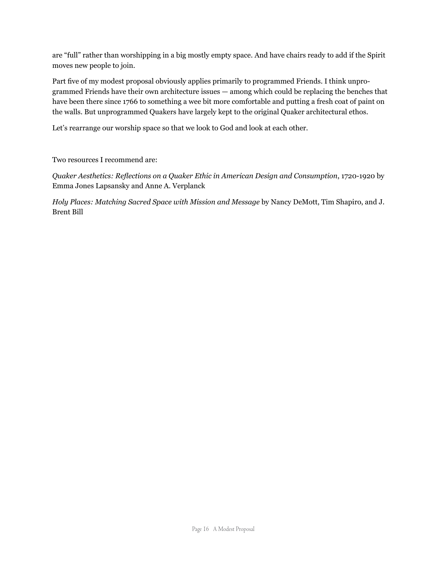are "full" rather than worshipping in a big mostly empty space. And have chairs ready to add if the Spirit moves new people to join.

Part five of my modest proposal obviously applies primarily to programmed Friends. I think unprogrammed Friends have their own architecture issues — among which could be replacing the benches that have been there since 1766 to something a wee bit more comfortable and putting a fresh coat of paint on the walls. But unprogrammed Quakers have largely kept to the original Quaker architectural ethos.

Let's rearrange our worship space so that we look to God and look at each other.

Two resources I recommend are:

*Quaker Aesthetics: Reflections on a Quaker Ethic in American Design and Consumption*, 1720-1920 by Emma Jones Lapsansky and Anne A. Verplanck

*Holy Places: Matching Sacred Space with Mission and Message* by Nancy DeMott, Tim Shapiro, and J. Brent Bill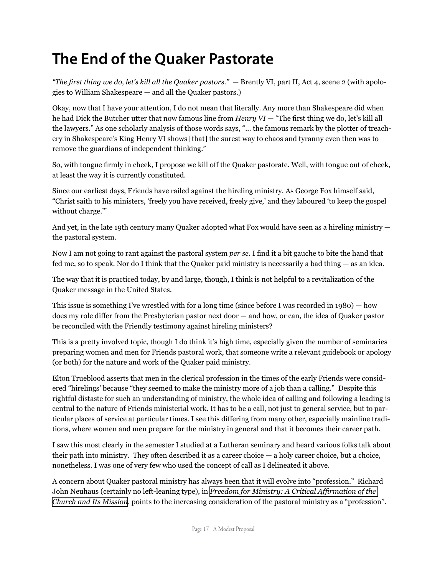#### **The End of the Quaker Pastorate**

*"The first thing we do, let's kill all the Quaker pastors."* — Brently VI, part II, Act 4, scene 2 (with apologies to William Shakespeare — and all the Quaker pastors.)

Okay, now that I have your attention, I do not mean that literally. Any more than Shakespeare did when he had Dick the Butcher utter that now famous line from *Henry VI* — "The first thing we do, let's kill all the lawyers." As one scholarly analysis of those words says, "... the famous remark by the plotter of treachery in Shakespeare's King Henry VI shows [that] the surest way to chaos and tyranny even then was to remove the guardians of independent thinking."

So, with tongue firmly in cheek, I propose we kill off the Quaker pastorate. Well, with tongue out of cheek, at least the way it is currently constituted.

Since our earliest days, Friends have railed against the hireling ministry. As George Fox himself said, "Christ saith to his ministers, 'freely you have received, freely give,' and they laboured 'to keep the gospel without charge."

And yet, in the late 19th century many Quaker adopted what Fox would have seen as a hireling ministry the pastoral system.

Now I am not going to rant against the pastoral system *per se*. I find it a bit gauche to bite the hand that fed me, so to speak. Nor do I think that the Quaker paid ministry is necessarily a bad thing — as an idea.

The way that it is practiced today, by and large, though, I think is not helpful to a revitalization of the Quaker message in the United States.

This issue is something I've wrestled with for a long time (since before I was recorded in 1980) — how does my role differ from the Presbyterian pastor next door — and how, or can, the idea of Quaker pastor be reconciled with the Friendly testimony against hireling ministers?

This is a pretty involved topic, though I do think it's high time, especially given the number of seminaries preparing women and men for Friends pastoral work, that someone write a relevant guidebook or apology (or both) for the nature and work of the Quaker paid ministry.

Elton Trueblood asserts that men in the clerical profession in the times of the early Friends were considered "hirelings' because "they seemed to make the ministry more of a job than a calling." Despite this rightful distaste for such an understanding of ministry, the whole idea of calling and following a leading is central to the nature of Friends ministerial work. It has to be a call, not just to general service, but to particular places of service at particular times. I see this differing from many other, especially mainline traditions, where women and men prepare for the ministry in general and that it becomes their career path.

I saw this most clearly in the semester I studied at a Lutheran seminary and heard various folks talk about their path into ministry. They often described it as a career choice  $-$  a holy career choice, but a choice, nonetheless. I was one of very few who used the concept of call as I delineated it above.

A concern about Quaker pastoral ministry has always been that it will evolve into "profession." Richard John Neuhaus (certainly no left-leaning type), in *[Freedom for Ministry: A Critical Affirmation of the](http://www.amazon.com/Freedom-Ministry-Revised-Editiion-Richard/dp/0802806228/ref=sr_1_1?s=gateway&ie=UTF8&qid=1285508990&sr=8-1)  [Church and Its Mission](http://www.amazon.com/Freedom-Ministry-Revised-Editiion-Richard/dp/0802806228/ref=sr_1_1?s=gateway&ie=UTF8&qid=1285508990&sr=8-1)*, points to the increasing consideration of the pastoral ministry as a "profession".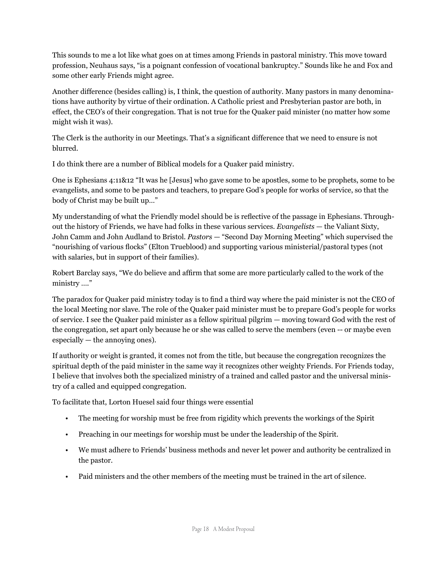This sounds to me a lot like what goes on at times among Friends in pastoral ministry. This move toward profession, Neuhaus says, "is a poignant confession of vocational bankruptcy." Sounds like he and Fox and some other early Friends might agree.

Another difference (besides calling) is, I think, the question of authority. Many pastors in many denominations have authority by virtue of their ordination. A Catholic priest and Presbyterian pastor are both, in effect, the CEO's of their congregation. That is not true for the Quaker paid minister (no matter how some might wish it was).

The Clerk is the authority in our Meetings. That's a significant difference that we need to ensure is not blurred.

I do think there are a number of Biblical models for a Quaker paid ministry.

One is Ephesians 4:11&12 "It was he [Jesus] who gave some to be apostles, some to be prophets, some to be evangelists, and some to be pastors and teachers, to prepare God's people for works of service, so that the body of Christ may be built up…"

My understanding of what the Friendly model should be is reflective of the passage in Ephesians. Throughout the history of Friends, we have had folks in these various services. *Evangelists* — the Valiant Sixty, John Camm and John Audland to Bristol. *Pastors* — "Second Day Morning Meeting" which supervised the "nourishing of various flocks" (Elton Trueblood) and supporting various ministerial/pastoral types (not with salaries, but in support of their families).

Robert Barclay says, "We do believe and affirm that some are more particularly called to the work of the ministry …."

The paradox for Quaker paid ministry today is to find a third way where the paid minister is not the CEO of the local Meeting nor slave. The role of the Quaker paid minister must be to prepare God's people for works of service. I see the Quaker paid minister as a fellow spiritual pilgrim — moving toward God with the rest of the congregation, set apart only because he or she was called to serve the members (even -- or maybe even especially — the annoying ones).

If authority or weight is granted, it comes not from the title, but because the congregation recognizes the spiritual depth of the paid minister in the same way it recognizes other weighty Friends. For Friends today, I believe that involves both the specialized ministry of a trained and called pastor and the universal ministry of a called and equipped congregation.

To facilitate that, Lorton Huesel said four things were essential

- The meeting for worship must be free from rigidity which prevents the workings of the Spirit
- Preaching in our meetings for worship must be under the leadership of the Spirit.
- We must adhere to Friends' business methods and never let power and authority be centralized in the pastor.
- Paid ministers and the other members of the meeting must be trained in the art of silence.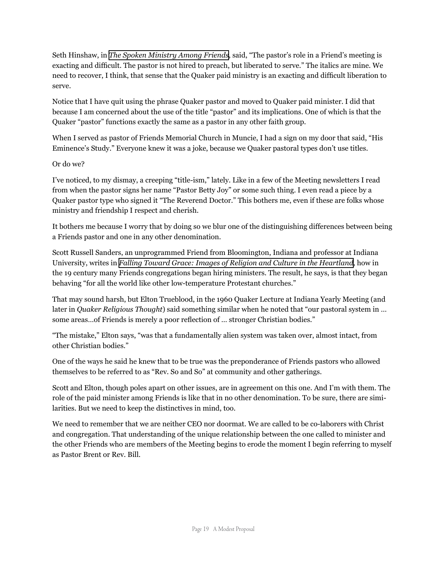Seth Hinshaw, in *[The Spoken Ministry Among Friends](http://www.amazon.com/spoken-ministry-among-Friends-development/dp/B00071ARYQ/ref=sr_1_1?s=gateway&ie=UTF8&qid=1285509327&sr=8-1)*, said, "The pastor's role in a Friend's meeting is exacting and difficult. The pastor is not hired to preach, but liberated to serve." The italics are mine. We need to recover, I think, that sense that the Quaker paid ministry is an exacting and difficult liberation to serve.

Notice that I have quit using the phrase Quaker pastor and moved to Quaker paid minister. I did that because I am concerned about the use of the title "pastor" and its implications. One of which is that the Quaker "pastor" functions exactly the same as a pastor in any other faith group.

When I served as pastor of Friends Memorial Church in Muncie, I had a sign on my door that said, "His Eminence's Study." Everyone knew it was a joke, because we Quaker pastoral types don't use titles.

#### Or do we?

I've noticed, to my dismay, a creeping "title-ism," lately. Like in a few of the Meeting newsletters I read from when the pastor signs her name "Pastor Betty Joy" or some such thing. I even read a piece by a Quaker pastor type who signed it "The Reverend Doctor." This bothers me, even if these are folks whose ministry and friendship I respect and cherish.

It bothers me because I worry that by doing so we blur one of the distinguishing differences between being a Friends pastor and one in any other denomination.

Scott Russell Sanders, an unprogrammed Friend from Bloomington, Indiana and professor at Indiana University, writes in *[Falling Toward Grace: Images of Religion and Culture in the Heartland](http://www.amazon.com/Falling-Toward-Grace-Religion-Heartland/dp/0253334535/ref=sr_1_3?s=gateway&ie=UTF8&qid=1285509649&sr=8-3)*, how in the 19 century many Friends congregations began hiring ministers. The result, he says, is that they began behaving "for all the world like other low-temperature Protestant churches."

That may sound harsh, but Elton Trueblood, in the 1960 Quaker Lecture at Indiana Yearly Meeting (and later in *Quaker Religious Thought*) said something similar when he noted that "our pastoral system in … some areas…of Friends is merely a poor reflection of … stronger Christian bodies."

"The mistake," Elton says, "was that a fundamentally alien system was taken over, almost intact, from other Christian bodies."

One of the ways he said he knew that to be true was the preponderance of Friends pastors who allowed themselves to be referred to as "Rev. So and So" at community and other gatherings.

Scott and Elton, though poles apart on other issues, are in agreement on this one. And I'm with them. The role of the paid minister among Friends is like that in no other denomination. To be sure, there are similarities. But we need to keep the distinctives in mind, too.

We need to remember that we are neither CEO nor doormat. We are called to be co-laborers with Christ and congregation. That understanding of the unique relationship between the one called to minister and the other Friends who are members of the Meeting begins to erode the moment I begin referring to myself as Pastor Brent or Rev. Bill.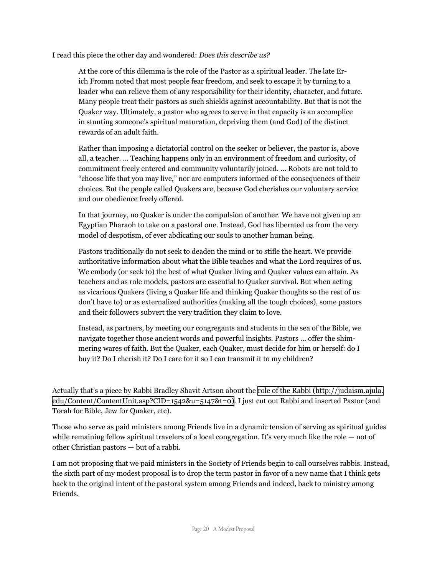I read this piece the other day and wondered: *Does this describe us?*

At the core of this dilemma is the role of the Pastor as a spiritual leader. The late Erich Fromm noted that most people fear freedom, and seek to escape it by turning to a leader who can relieve them of any responsibility for their identity, character, and future. Many people treat their pastors as such shields against accountability. But that is not the Quaker way. Ultimately, a pastor who agrees to serve in that capacity is an accomplice in stunting someone's spiritual maturation, depriving them (and God) of the distinct rewards of an adult faith.

Rather than imposing a dictatorial control on the seeker or believer, the pastor is, above all, a teacher. ... Teaching happens only in an environment of freedom and curiosity, of commitment freely entered and community voluntarily joined. ... Robots are not told to "choose life that you may live," nor are computers informed of the consequences of their choices. But the people called Quakers are, because God cherishes our voluntary service and our obedience freely offered.

In that journey, no Quaker is under the compulsion of another. We have not given up an Egyptian Pharaoh to take on a pastoral one. Instead, God has liberated us from the very model of despotism, of ever abdicating our souls to another human being.

Pastors traditionally do not seek to deaden the mind or to stifle the heart. We provide authoritative information about what the Bible teaches and what the Lord requires of us. We embody (or seek to) the best of what Quaker living and Quaker values can attain. As teachers and as role models, pastors are essential to Quaker survival. But when acting as vicarious Quakers (living a Quaker life and thinking Quaker thoughts so the rest of us don't have to) or as externalized authorities (making all the tough choices), some pastors and their followers subvert the very tradition they claim to love.

Instead, as partners, by meeting our congregants and students in the sea of the Bible, we navigate together those ancient words and powerful insights. Pastors ... offer the shimmering wares of faith. But the Quaker, each Quaker, must decide for him or herself: do I buy it? Do I cherish it? Do I care for it so I can transmit it to my children?

Actually that's a piece by Rabbi Bradley Shavit Artson about the [role of the Rabbi \(http://judaism.ajula.](http://judaism.ajula.edu/Content/ContentUnit.asp?CID=1542&u=5147&t=0) [edu/Content/ContentUnit.asp?CID=1542&u=5147&t=0](http://judaism.ajula.edu/Content/ContentUnit.asp?CID=1542&u=5147&t=0)). I just cut out Rabbi and inserted Pastor (and Torah for Bible, Jew for Quaker, etc).

Those who serve as paid ministers among Friends live in a dynamic tension of serving as spiritual guides while remaining fellow spiritual travelers of a local congregation. It's very much like the role  $-$  not of other Christian pastors — but of a rabbi.

I am not proposing that we paid ministers in the Society of Friends begin to call ourselves rabbis. Instead, the sixth part of my modest proposal is to drop the term pastor in favor of a new name that I think gets back to the original intent of the pastoral system among Friends and indeed, back to ministry among Friends.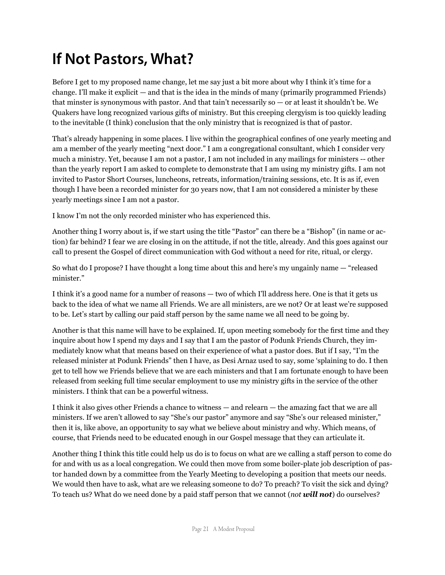## **If Not Pastors, What?**

Before I get to my proposed name change, let me say just a bit more about why I think it's time for a change. I'll make it explicit — and that is the idea in the minds of many (primarily programmed Friends) that minster is synonymous with pastor. And that tain't necessarily so — or at least it shouldn't be. We Quakers have long recognized various gifts of ministry. But this creeping clergyism is too quickly leading to the inevitable (I think) conclusion that the only ministry that is recognized is that of pastor.

That's already happening in some places. I live within the geographical confines of one yearly meeting and am a member of the yearly meeting "next door." I am a congregational consultant, which I consider very much a ministry. Yet, because I am not a pastor, I am not included in any mailings for ministers -- other than the yearly report I am asked to complete to demonstrate that I am using my ministry gifts. I am not invited to Pastor Short Courses, luncheons, retreats, information/training sessions, etc. It is as if, even though I have been a recorded minister for 30 years now, that I am not considered a minister by these yearly meetings since I am not a pastor.

I know I'm not the only recorded minister who has experienced this.

Another thing I worry about is, if we start using the title "Pastor" can there be a "Bishop" (in name or action) far behind? I fear we are closing in on the attitude, if not the title, already. And this goes against our call to present the Gospel of direct communication with God without a need for rite, ritual, or clergy.

So what do I propose? I have thought a long time about this and here's my ungainly name — "released minister."

I think it's a good name for a number of reasons — two of which I'll address here. One is that it gets us back to the idea of what we name all Friends. We are all ministers, are we not? Or at least we're supposed to be. Let's start by calling our paid staff person by the same name we all need to be going by.

Another is that this name will have to be explained. If, upon meeting somebody for the first time and they inquire about how I spend my days and I say that I am the pastor of Podunk Friends Church, they immediately know what that means based on their experience of what a pastor does. But if I say, "I'm the released minister at Podunk Friends" then I have, as Desi Arnaz used to say, some 'splaining to do. I then get to tell how we Friends believe that we are each ministers and that I am fortunate enough to have been released from seeking full time secular employment to use my ministry gifts in the service of the other ministers. I think that can be a powerful witness.

I think it also gives other Friends a chance to witness — and relearn — the amazing fact that we are all ministers. If we aren't allowed to say "She's our pastor" anymore and say "She's our released minister," then it is, like above, an opportunity to say what we believe about ministry and why. Which means, of course, that Friends need to be educated enough in our Gospel message that they can articulate it.

Another thing I think this title could help us do is to focus on what are we calling a staff person to come do for and with us as a local congregation. We could then move from some boiler-plate job description of pastor handed down by a committee from the Yearly Meeting to developing a position that meets our needs. We would then have to ask, what are we releasing someone to do? To preach? To visit the sick and dying? To teach us? What do we need done by a paid staff person that we cannot (*not will not*) do ourselves?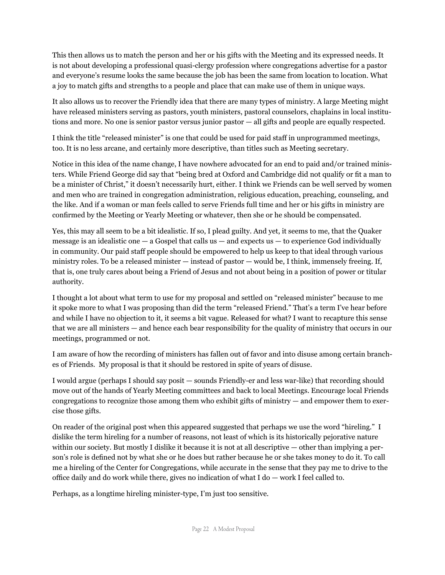This then allows us to match the person and her or his gifts with the Meeting and its expressed needs. It is not about developing a professional quasi-clergy profession where congregations advertise for a pastor and everyone's resume looks the same because the job has been the same from location to location. What a joy to match gifts and strengths to a people and place that can make use of them in unique ways.

It also allows us to recover the Friendly idea that there are many types of ministry. A large Meeting might have released ministers serving as pastors, youth ministers, pastoral counselors, chaplains in local institutions and more. No one is senior pastor versus junior pastor — all gifts and people are equally respected.

I think the title "released minister" is one that could be used for paid staff in unprogrammed meetings, too. It is no less arcane, and certainly more descriptive, than titles such as Meeting secretary.

Notice in this idea of the name change, I have nowhere advocated for an end to paid and/or trained ministers. While Friend George did say that "being bred at Oxford and Cambridge did not qualify or fit a man to be a minister of Christ," it doesn't necessarily hurt, either. I think we Friends can be well served by women and men who are trained in congregation administration, religious education, preaching, counseling, and the like. And if a woman or man feels called to serve Friends full time and her or his gifts in ministry are confirmed by the Meeting or Yearly Meeting or whatever, then she or he should be compensated.

Yes, this may all seem to be a bit idealistic. If so, I plead guilty. And yet, it seems to me, that the Quaker message is an idealistic one  $-$  a Gospel that calls us  $-$  and expects us  $-$  to experience God individually in community. Our paid staff people should be empowered to help us keep to that ideal through various ministry roles. To be a released minister — instead of pastor — would be, I think, immensely freeing. If, that is, one truly cares about being a Friend of Jesus and not about being in a position of power or titular authority.

I thought a lot about what term to use for my proposal and settled on "released minister" because to me it spoke more to what I was proposing than did the term "released Friend." That's a term I've hear before and while I have no objection to it, it seems a bit vague. Released for what? I want to recapture this sense that we are all ministers — and hence each bear responsibility for the quality of ministry that occurs in our meetings, programmed or not.

I am aware of how the recording of ministers has fallen out of favor and into disuse among certain branches of Friends. My proposal is that it should be restored in spite of years of disuse.

I would argue (perhaps I should say posit — sounds Friendly-er and less war-like) that recording should move out of the hands of Yearly Meeting committees and back to local Meetings. Encourage local Friends congregations to recognize those among them who exhibit gifts of ministry — and empower them to exercise those gifts.

On reader of the original post when this appeared suggested that perhaps we use the word "hireling." I dislike the term hireling for a number of reasons, not least of which is its historically pejorative nature within our society. But mostly I dislike it because it is not at all descriptive — other than implying a person's role is defined not by what she or he does but rather because he or she takes money to do it. To call me a hireling of the Center for Congregations, while accurate in the sense that they pay me to drive to the office daily and do work while there, gives no indication of what I do — work I feel called to.

Perhaps, as a longtime hireling minister-type, I'm just too sensitive.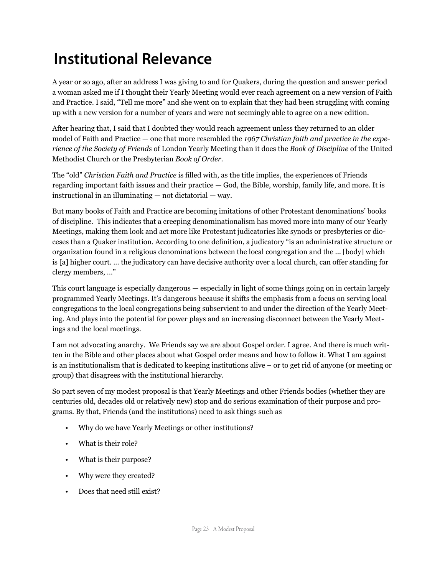### **Institutional Relevance**

A year or so ago, after an address I was giving to and for Quakers, during the question and answer period a woman asked me if I thought their Yearly Meeting would ever reach agreement on a new version of Faith and Practice. I said, "Tell me more" and she went on to explain that they had been struggling with coming up with a new version for a number of years and were not seemingly able to agree on a new edition.

After hearing that, I said that I doubted they would reach agreement unless they returned to an older model of Faith and Practice — one that more resembled the *1967 Christian faith and practice in the experience of the Society of Friends* of London Yearly Meeting than it does the *Book of Discipline* of the United Methodist Church or the Presbyterian *Book of Order*.

The "old" *Christian Faith and Practice* is filled with, as the title implies, the experiences of Friends regarding important faith issues and their practice — God, the Bible, worship, family life, and more. It is instructional in an illuminating — not dictatorial — way.

But many books of Faith and Practice are becoming imitations of other Protestant denominations' books of discipline. This indicates that a creeping denominationalism has moved more into many of our Yearly Meetings, making them look and act more like Protestant judicatories like synods or presbyteries or dioceses than a Quaker institution. According to one definition, a judicatory "is an administrative structure or organization found in a religious denominations between the local congregation and the ... [body] which is [a] higher court. ... the judicatory can have decisive authority over a local church, can offer standing for clergy members, ..."

This court language is especially dangerous — especially in light of some things going on in certain largely programmed Yearly Meetings. It's dangerous because it shifts the emphasis from a focus on serving local congregations to the local congregations being subservient to and under the direction of the Yearly Meeting. And plays into the potential for power plays and an increasing disconnect between the Yearly Meetings and the local meetings.

I am not advocating anarchy. We Friends say we are about Gospel order. I agree. And there is much written in the Bible and other places about what Gospel order means and how to follow it. What I am against is an institutionalism that is dedicated to keeping institutions alive – or to get rid of anyone (or meeting or group) that disagrees with the institutional hierarchy.

So part seven of my modest proposal is that Yearly Meetings and other Friends bodies (whether they are centuries old, decades old or relatively new) stop and do serious examination of their purpose and programs. By that, Friends (and the institutions) need to ask things such as

- Why do we have Yearly Meetings or other institutions?
- What is their role?
- What is their purpose?
- Why were they created?
- Does that need still exist?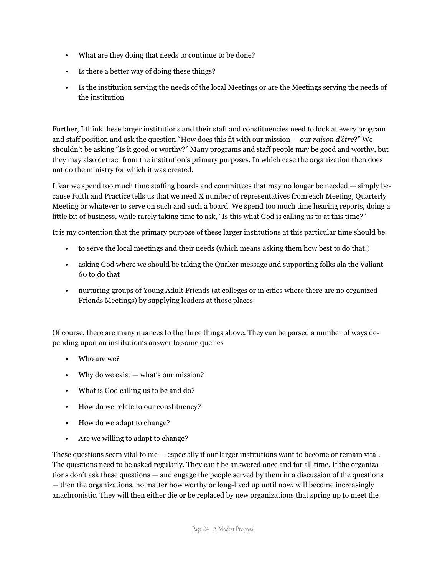- What are they doing that needs to continue to be done?
- Is there a better way of doing these things?
- Is the institution serving the needs of the local Meetings or are the Meetings serving the needs of the institution

Further, I think these larger institutions and their staff and constituencies need to look at every program and staff position and ask the question "How does this fit with our mission — our *raison d'être*?" We shouldn't be asking "Is it good or worthy?" Many programs and staff people may be good and worthy, but they may also detract from the institution's primary purposes. In which case the organization then does not do the ministry for which it was created.

I fear we spend too much time staffing boards and committees that may no longer be needed — simply because Faith and Practice tells us that we need X number of representatives from each Meeting, Quarterly Meeting or whatever to serve on such and such a board. We spend too much time hearing reports, doing a little bit of business, while rarely taking time to ask, "Is this what God is calling us to at this time?"

It is my contention that the primary purpose of these larger institutions at this particular time should be

- to serve the local meetings and their needs (which means asking them how best to do that!)
- asking God where we should be taking the Quaker message and supporting folks ala the Valiant 60 to do that
- nurturing groups of Young Adult Friends (at colleges or in cities where there are no organized Friends Meetings) by supplying leaders at those places

Of course, there are many nuances to the three things above. They can be parsed a number of ways depending upon an institution's answer to some queries

- Who are we?
- Why do we exist what's our mission?
- What is God calling us to be and do?
- How do we relate to our constituency?
- How do we adapt to change?
- Are we willing to adapt to change?

These questions seem vital to me — especially if our larger institutions want to become or remain vital. The questions need to be asked regularly. They can't be answered once and for all time. If the organizations don't ask these questions — and engage the people served by them in a discussion of the questions — then the organizations, no matter how worthy or long-lived up until now, will become increasingly anachronistic. They will then either die or be replaced by new organizations that spring up to meet the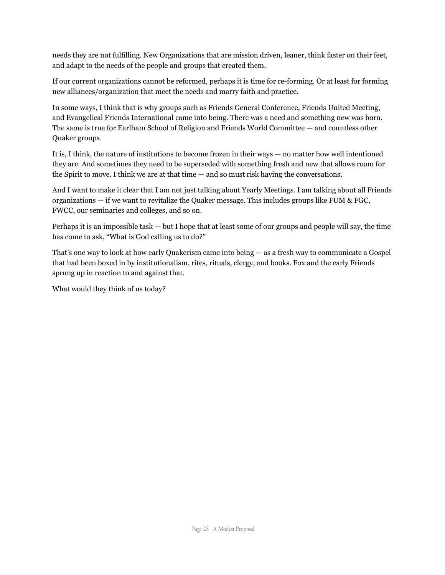needs they are not fulfilling. New Organizations that are mission driven, leaner, think faster on their feet, and adapt to the needs of the people and groups that created them.

If our current organizations cannot be reformed, perhaps it is time for re-forming. Or at least for forming new alliances/organization that meet the needs and marry faith and practice.

In some ways, I think that is why groups such as Friends General Conference, Friends United Meeting, and Evangelical Friends International came into being. There was a need and something new was born. The same is true for Earlham School of Religion and Friends World Committee — and countless other Quaker groups.

It is, I think, the nature of institutions to become frozen in their ways — no matter how well intentioned they are. And sometimes they need to be superseded with something fresh and new that allows room for the Spirit to move. I think we are at that time — and so must risk having the conversations.

And I want to make it clear that I am not just talking about Yearly Meetings. I am talking about all Friends organizations  $-$  if we want to revitalize the Quaker message. This includes groups like FUM & FGC, FWCC, our seminaries and colleges, and so on.

Perhaps it is an impossible task — but I hope that at least some of our groups and people will say, the time has come to ask, "What is God calling us to do?"

That's one way to look at how early Quakerism came into being — as a fresh way to communicate a Gospel that had been boxed in by institutionalism, rites, rituals, clergy, and books. Fox and the early Friends sprung up in reaction to and against that.

What would they think of us today?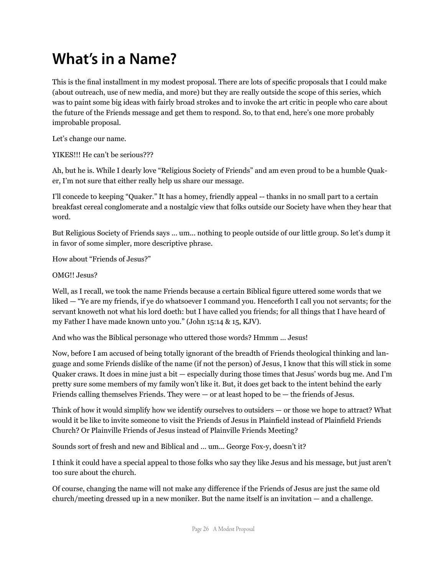#### **What's in a Name?**

This is the final installment in my modest proposal. There are lots of specific proposals that I could make (about outreach, use of new media, and more) but they are really outside the scope of this series, which was to paint some big ideas with fairly broad strokes and to invoke the art critic in people who care about the future of the Friends message and get them to respond. So, to that end, here's one more probably improbable proposal.

Let's change our name.

YIKES!!! He can't be serious???

Ah, but he is. While I dearly love "Religious Society of Friends" and am even proud to be a humble Quaker, I'm not sure that either really help us share our message.

I'll concede to keeping "Quaker." It has a homey, friendly appeal -- thanks in no small part to a certain breakfast cereal conglomerate and a nostalgic view that folks outside our Society have when they hear that word.

But Religious Society of Friends says ... um... nothing to people outside of our little group. So let's dump it in favor of some simpler, more descriptive phrase.

How about "Friends of Jesus?"

OMG!! Jesus?

Well, as I recall, we took the name Friends because a certain Biblical figure uttered some words that we liked — "Ye are my friends, if ye do whatsoever I command you. Henceforth I call you not servants; for the servant knoweth not what his lord doeth: but I have called you friends; for all things that I have heard of my Father I have made known unto you." (John 15:14 & 15, KJV).

And who was the Biblical personage who uttered those words? Hmmm ... Jesus!

Now, before I am accused of being totally ignorant of the breadth of Friends theological thinking and language and some Friends dislike of the name (if not the person) of Jesus, I know that this will stick in some Quaker craws. It does in mine just a bit — especially during those times that Jesus' words bug me. And I'm pretty sure some members of my family won't like it. But, it does get back to the intent behind the early Friends calling themselves Friends. They were — or at least hoped to be — the friends of Jesus.

Think of how it would simplify how we identify ourselves to outsiders — or those we hope to attract? What would it be like to invite someone to visit the Friends of Jesus in Plainfield instead of Plainfield Friends Church? Or Plainville Friends of Jesus instead of Plainville Friends Meeting?

Sounds sort of fresh and new and Biblical and ... um... George Fox-y, doesn't it?

I think it could have a special appeal to those folks who say they like Jesus and his message, but just aren't too sure about the church.

Of course, changing the name will not make any difference if the Friends of Jesus are just the same old church/meeting dressed up in a new moniker. But the name itself is an invitation — and a challenge.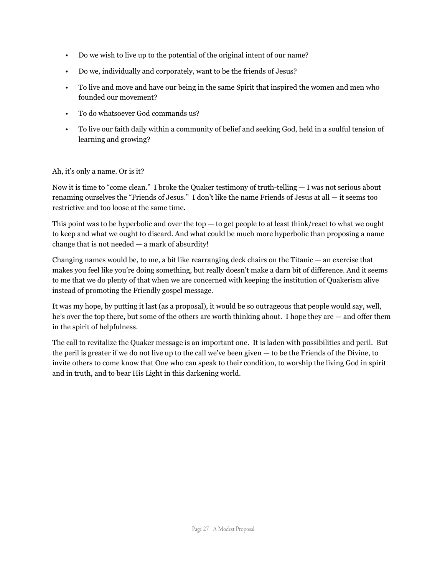- Do we wish to live up to the potential of the original intent of our name?
- Do we, individually and corporately, want to be the friends of Jesus?
- To live and move and have our being in the same Spirit that inspired the women and men who founded our movement?
- To do whatsoever God commands us?
- To live our faith daily within a community of belief and seeking God, held in a soulful tension of learning and growing?

#### Ah, it's only a name. Or is it?

Now it is time to "come clean." I broke the Quaker testimony of truth-telling — I was not serious about renaming ourselves the "Friends of Jesus." I don't like the name Friends of Jesus at all — it seems too restrictive and too loose at the same time.

This point was to be hyperbolic and over the top  $-$  to get people to at least think/react to what we ought to keep and what we ought to discard. And what could be much more hyperbolic than proposing a name change that is not needed — a mark of absurdity!

Changing names would be, to me, a bit like rearranging deck chairs on the Titanic — an exercise that makes you feel like you're doing something, but really doesn't make a darn bit of difference. And it seems to me that we do plenty of that when we are concerned with keeping the institution of Quakerism alive instead of promoting the Friendly gospel message.

It was my hope, by putting it last (as a proposal), it would be so outrageous that people would say, well, he's over the top there, but some of the others are worth thinking about. I hope they are — and offer them in the spirit of helpfulness.

The call to revitalize the Quaker message is an important one. It is laden with possibilities and peril. But the peril is greater if we do not live up to the call we've been given — to be the Friends of the Divine, to invite others to come know that One who can speak to their condition, to worship the living God in spirit and in truth, and to bear His Light in this darkening world.